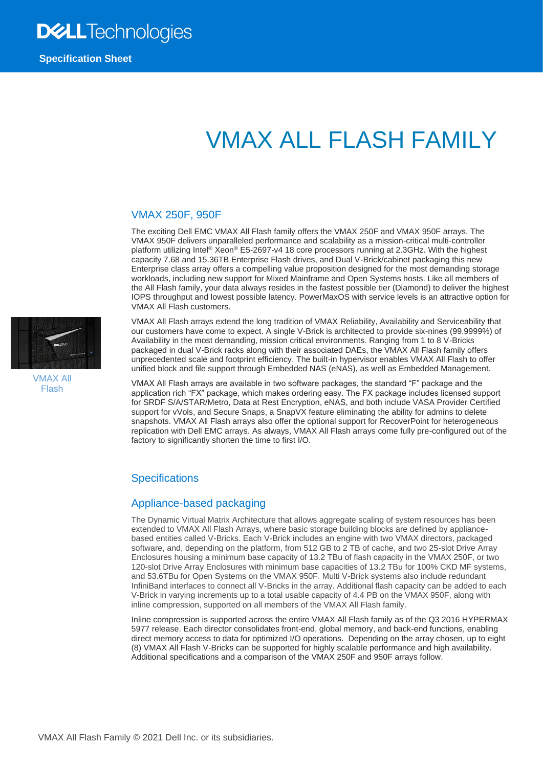# VMAX ALL FLASH FAMILY

#### VMAX 250F, 950F

The exciting Dell EMC VMAX All Flash family offers the VMAX 250F and VMAX 950F arrays. The VMAX 950F delivers unparalleled performance and scalability as a mission-critical multi-controller platform utilizing Intel® Xeon® E5-2697-v4 18 core processors running at 2.3GHz. With the highest capacity 7.68 and 15.36TB Enterprise Flash drives, and Dual V-Brick/cabinet packaging this new Enterprise class array offers a compelling value proposition designed for the most demanding storage workloads, including new support for Mixed Mainframe and Open Systems hosts. Like all members of the All Flash family, your data always resides in the fastest possible tier (Diamond) to deliver the highest IOPS throughput and lowest possible latency. PowerMaxOS with service levels is an attractive option for VMAX All Flash customers.

VMAX All Flash

VMAX All Flash arrays extend the long tradition of VMAX Reliability, Availability and Serviceability that our customers have come to expect. A single V-Brick is architected to provide six-nines (99.9999%) of Availability in the most demanding, mission critical environments. Ranging from 1 to 8 V-Bricks packaged in dual V-Brick racks along with their associated DAEs, the VMAX All Flash family offers unprecedented scale and footprint efficiency. The built-in hypervisor enables VMAX All Flash to offer unified block and file support through Embedded NAS (eNAS), as well as Embedded Management.

VMAX All Flash arrays are available in two software packages, the standard "F" package and the application rich "FX" package, which makes ordering easy. The FX package includes licensed support for SRDF S/A/STAR/Metro, Data at Rest Encryption, eNAS, and both include VASA Provider Certified support for vVols, and Secure Snaps, a SnapVX feature eliminating the ability for admins to delete snapshots. VMAX All Flash arrays also offer the optional support for RecoverPoint for heterogeneous replication with Dell EMC arrays. As always, VMAX All Flash arrays come fully pre-configured out of the factory to significantly shorten the time to first I/O.

#### **Specifications**

#### Appliance-based packaging

The Dynamic Virtual Matrix Architecture that allows aggregate scaling of system resources has been extended to VMAX All Flash Arrays, where basic storage building blocks are defined by appliancebased entities called V-Bricks. Each V-Brick includes an engine with two VMAX directors, packaged software, and, depending on the platform, from 512 GB to 2 TB of cache, and two 25-slot Drive Arrav Enclosures housing a minimum base capacity of 13.2 TBu of flash capacity in the VMAX 250F, or two 120-slot Drive Array Enclosures with minimum base capacities of 13.2 TBu for 100% CKD MF systems, and 53.6TBu for Open Systems on the VMAX 950F. Multi V-Brick systems also include redundant InfiniBand interfaces to connect all V-Bricks in the array. Additional flash capacity can be added to each V-Brick in varying increments up to a total usable capacity of 4.4 PB on the VMAX 950F, along with inline compression, supported on all members of the VMAX All Flash family.

Inline compression is supported across the entire VMAX All Flash family as of the Q3 2016 HYPERMAX 5977 release. Each director consolidates front-end, global memory, and back-end functions, enabling direct memory access to data for optimized I/O operations. Depending on the array chosen, up to eight (8) VMAX All Flash V-Bricks can be supported for highly scalable performance and high availability. Additional specifications and a comparison of the VMAX 250F and 950F arrays follow.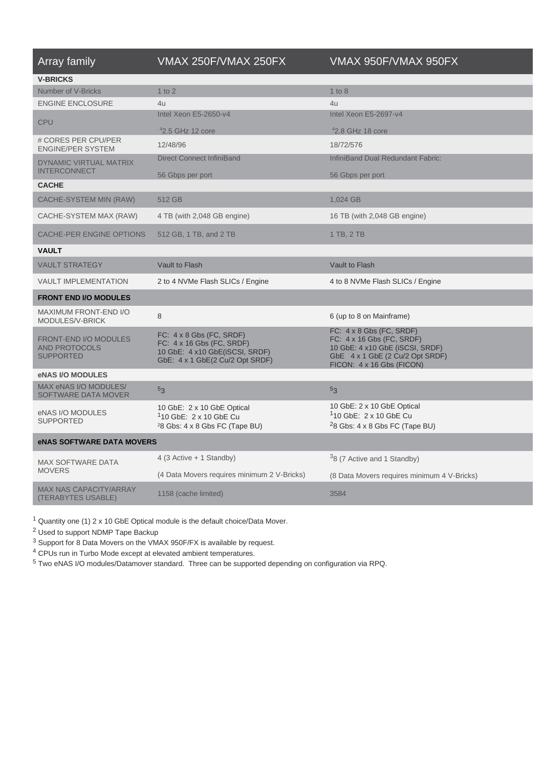| <b>Array family</b>                                                      | VMAX 250F/VMAX 250FX                                                                                                              | VMAX 950F/VMAX 950FX                                                                                                                                            |  |
|--------------------------------------------------------------------------|-----------------------------------------------------------------------------------------------------------------------------------|-----------------------------------------------------------------------------------------------------------------------------------------------------------------|--|
| <b>V-BRICKS</b>                                                          |                                                                                                                                   |                                                                                                                                                                 |  |
| Number of V-Bricks                                                       | $1$ to $2$                                                                                                                        | 1 to 8                                                                                                                                                          |  |
| <b>ENGINE ENCLOSURE</b>                                                  | 411                                                                                                                               | 411                                                                                                                                                             |  |
| <b>CPU</b>                                                               | Intel Xeon E5-2650-y4                                                                                                             | Intel Xeon E5-2697-y4                                                                                                                                           |  |
|                                                                          | $42.5$ GHz 12 core                                                                                                                | $42.8$ GHz 18 core                                                                                                                                              |  |
| # CORES PER CPU/PER<br><b>ENGINE/PER SYSTEM</b>                          | 12/48/96                                                                                                                          | 18/72/576                                                                                                                                                       |  |
| <b>DYNAMIC VIRTUAL MATRIX</b><br><b>INTERCONNECT</b>                     | <b>Direct Connect InfiniBand</b>                                                                                                  | <b>InfiniBand Dual Redundant Fabric:</b>                                                                                                                        |  |
|                                                                          | 56 Gbps per port                                                                                                                  | 56 Gbps per port                                                                                                                                                |  |
| <b>CACHE</b>                                                             |                                                                                                                                   |                                                                                                                                                                 |  |
| CACHE-SYSTEM MIN (RAW)                                                   | 512 GB                                                                                                                            | 1,024 GB                                                                                                                                                        |  |
| CACHE-SYSTEM MAX (RAW)                                                   | 4 TB (with 2,048 GB engine)                                                                                                       | 16 TB (with 2,048 GB engine)                                                                                                                                    |  |
| <b>CACHE-PER ENGINE OPTIONS</b>                                          | 512 GB, 1 TB, and 2 TB                                                                                                            | 1 TB, 2 TB                                                                                                                                                      |  |
| <b>VAULT</b>                                                             |                                                                                                                                   |                                                                                                                                                                 |  |
| <b>VAULT STRATEGY</b>                                                    | Vault to Flash                                                                                                                    | Vault to Flash                                                                                                                                                  |  |
| <b>VAULT IMPLEMENTATION</b>                                              | 2 to 4 NVMe Flash SLICs / Engine                                                                                                  | 4 to 8 NVMe Flash SLICs / Engine                                                                                                                                |  |
| <b>FRONT END I/O MODULES</b>                                             |                                                                                                                                   |                                                                                                                                                                 |  |
| MAXIMUM FRONT-END I/O<br>MODULES/V-BRICK                                 | 8                                                                                                                                 | 6 (up to 8 on Mainframe)                                                                                                                                        |  |
| <b>FRONT-END I/O MODULES</b><br><b>AND PROTOCOLS</b><br><b>SUPPORTED</b> | FC: $4 \times 8$ Gbs (FC, SRDF)<br>FC: 4 x 16 Gbs (FC, SRDF)<br>10 GbE: 4 x10 GbE(iSCSI, SRDF)<br>GbE: 4 x 1 GbE(2 Cu/2 Opt SRDF) | FC: $4 \times 8$ Gbs (FC, SRDF)<br>FC: 4 x 16 Gbs (FC, SRDF)<br>10 GbE: 4 x10 GbE (iSCSI, SRDF)<br>GbE 4 x 1 GbE (2 Cu/2 Opt SRDF)<br>FICON: 4 x 16 Gbs (FICON) |  |
| <b>eNAS I/O MODULES</b>                                                  |                                                                                                                                   |                                                                                                                                                                 |  |
| MAX eNAS I/O MODULES/<br><b>SOFTWARE DATA MOVER</b>                      | 5 <sub>3</sub>                                                                                                                    | 5 <sub>3</sub>                                                                                                                                                  |  |
| eNAS I/O MODULES<br><b>SUPPORTED</b>                                     | 10 GbE: 2 x 10 GbE Optical<br><sup>1</sup> 10 GbE: 2 x 10 GbE Cu<br>$28$ Gbs: $4 \times 8$ Gbs FC (Tape BU)                       | 10 GbE: 2 x 10 GbE Optical<br><sup>1</sup> 10 GbE: 2 x 10 GbE Cu<br>$28$ Gbs: 4 x 8 Gbs FC (Tape BU)                                                            |  |
| <b>eNAS SOFTWARE DATA MOVERS</b>                                         |                                                                                                                                   |                                                                                                                                                                 |  |
| MAX SOFTWARE DATA                                                        | 4 (3 Active + 1 Standby)                                                                                                          | <sup>3</sup> 8 (7 Active and 1 Standby)                                                                                                                         |  |
| <b>MOVERS</b>                                                            | (4 Data Movers requires minimum 2 V-Bricks)                                                                                       | (8 Data Movers requires minimum 4 V-Bricks)                                                                                                                     |  |
| <b>MAX NAS CAPACITY/ARRAY</b><br>(TERABYTES USABLE)                      | 1158 (cache limited)                                                                                                              | 3584                                                                                                                                                            |  |

<sup>1</sup> Quantity one (1) 2 x 10 GbE Optical module is the default choice/Data Mover.

<sup>2</sup> Used to support NDMP Tape Backup

<sup>3</sup> Support for 8 Data Movers on the VMAX 950F/FX is available by request.

<sup>4</sup> CPUs run in Turbo Mode except at elevated ambient temperatures.

<sup>5</sup> Two eNAS I/O modules/Datamover standard. Three can be supported depending on configuration via RPQ.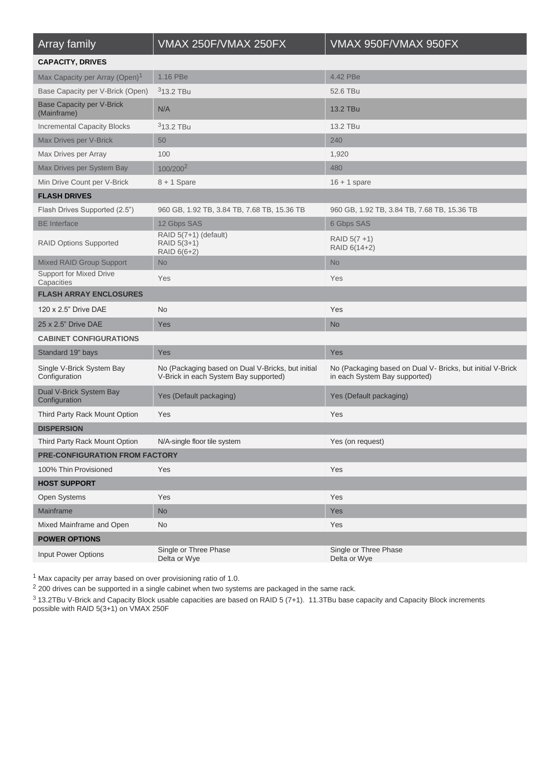| Array family                                    | VMAX 250F/VMAX 250FX                                                                       | VMAX 950F/VMAX 950FX                                                                        |  |  |  |
|-------------------------------------------------|--------------------------------------------------------------------------------------------|---------------------------------------------------------------------------------------------|--|--|--|
| <b>CAPACITY, DRIVES</b>                         |                                                                                            |                                                                                             |  |  |  |
| Max Capacity per Array (Open) <sup>1</sup>      | 1.16 PBe                                                                                   | 4.42 PBe                                                                                    |  |  |  |
| Base Capacity per V-Brick (Open)                | $313.2$ TBu                                                                                | 52.6 TBu                                                                                    |  |  |  |
| <b>Base Capacity per V-Brick</b><br>(Mainframe) | N/A                                                                                        | 13.2 TBu                                                                                    |  |  |  |
| <b>Incremental Capacity Blocks</b>              | $313.2$ TBu                                                                                | 13.2 TBu                                                                                    |  |  |  |
| Max Drives per V-Brick                          | 50                                                                                         | 240                                                                                         |  |  |  |
| Max Drives per Array                            | 100                                                                                        | 1,920                                                                                       |  |  |  |
| Max Drives per System Bay                       | 100/200 <sup>2</sup>                                                                       | 480                                                                                         |  |  |  |
| Min Drive Count per V-Brick                     | $8 + 1$ Spare                                                                              | $16 + 1$ spare                                                                              |  |  |  |
| <b>FLASH DRIVES</b>                             |                                                                                            |                                                                                             |  |  |  |
| Flash Drives Supported (2.5")                   | 960 GB, 1.92 TB, 3.84 TB, 7.68 TB, 15.36 TB                                                | 960 GB, 1.92 TB, 3.84 TB, 7.68 TB, 15.36 TB                                                 |  |  |  |
| <b>BE</b> Interface                             | 12 Gbps SAS                                                                                | 6 Gbps SAS                                                                                  |  |  |  |
| <b>RAID Options Supported</b>                   | RAID 5(7+1) (default)<br>RAID 5(3+1)<br>RAID 6(6+2)                                        | $RAID 5(7 + 1)$<br>RAID 6(14+2)                                                             |  |  |  |
| <b>Mixed RAID Group Support</b>                 | <b>No</b>                                                                                  | <b>No</b>                                                                                   |  |  |  |
| <b>Support for Mixed Drive</b><br>Capacities    | Yes                                                                                        | Yes                                                                                         |  |  |  |
| <b>FLASH ARRAY ENCLOSURES</b>                   |                                                                                            |                                                                                             |  |  |  |
| 120 x 2.5" Drive DAE                            | <b>No</b>                                                                                  | Yes                                                                                         |  |  |  |
| 25 x 2.5" Drive DAE                             | Yes                                                                                        | <b>No</b>                                                                                   |  |  |  |
| <b>CABINET CONFIGURATIONS</b>                   |                                                                                            |                                                                                             |  |  |  |
| Standard 19" bays                               | Yes                                                                                        | Yes                                                                                         |  |  |  |
| Single V-Brick System Bay<br>Configuration      | No (Packaging based on Dual V-Bricks, but initial<br>V-Brick in each System Bay supported) | No (Packaging based on Dual V- Bricks, but initial V-Brick<br>in each System Bay supported) |  |  |  |
| Dual V-Brick System Bay<br>Configuration        | Yes (Default packaging)                                                                    | Yes (Default packaging)                                                                     |  |  |  |
| Third Party Rack Mount Option                   | Yes                                                                                        | Yes                                                                                         |  |  |  |
| <b>DISPERSION</b>                               |                                                                                            |                                                                                             |  |  |  |
| Third Party Rack Mount Option                   | N/A-single floor tile system                                                               | Yes (on request)                                                                            |  |  |  |
| PRE-CONFIGURATION FROM FACTORY                  |                                                                                            |                                                                                             |  |  |  |
| 100% Thin Provisioned                           | Yes                                                                                        | Yes                                                                                         |  |  |  |
| <b>HOST SUPPORT</b>                             |                                                                                            |                                                                                             |  |  |  |
| Open Systems                                    | Yes                                                                                        | Yes                                                                                         |  |  |  |
| Mainframe                                       | No                                                                                         | Yes                                                                                         |  |  |  |
| Mixed Mainframe and Open                        | <b>No</b>                                                                                  | Yes                                                                                         |  |  |  |
| <b>POWER OPTIONS</b>                            |                                                                                            |                                                                                             |  |  |  |
| Input Power Options                             | Single or Three Phase<br>Delta or Wye                                                      | Single or Three Phase<br>Delta or Wye                                                       |  |  |  |

<sup>1</sup> Max capacity per array based on over provisioning ratio of 1.0.

<sup>2</sup> 200 drives can be supported in a single cabinet when two systems are packaged in the same rack.

 $3$  13.2TBu V-Brick and Capacity Block usable capacities are based on RAID 5 (7+1). 11.3TBu base capacity and Capacity Block increments possible with RAID 5(3+1) on VMAX 250F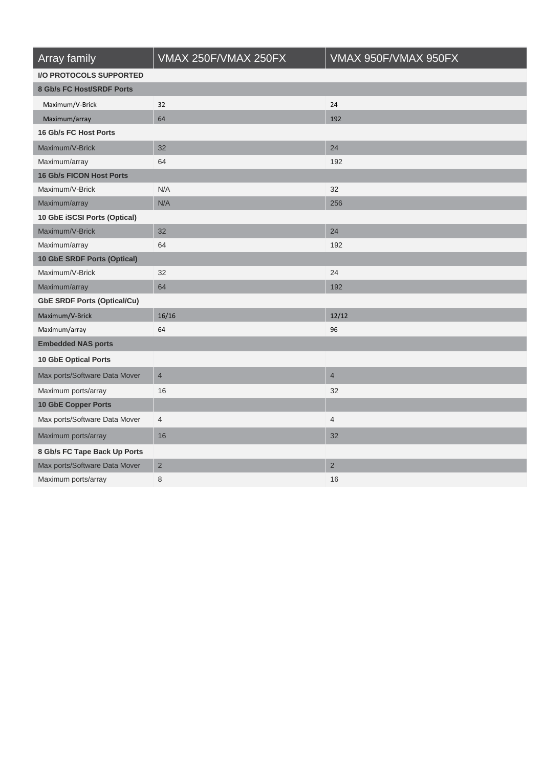| Array family                       | VMAX 250F/VMAX 250FX | VMAX 950F/VMAX 950FX |  |  |  |
|------------------------------------|----------------------|----------------------|--|--|--|
| <b>I/O PROTOCOLS SUPPORTED</b>     |                      |                      |  |  |  |
| 8 Gb/s FC Host/SRDF Ports          |                      |                      |  |  |  |
| Maximum/V-Brick                    | 32                   | 24                   |  |  |  |
| Maximum/array                      | 64                   | 192                  |  |  |  |
| 16 Gb/s FC Host Ports              |                      |                      |  |  |  |
| Maximum/V-Brick                    | 32                   | 24                   |  |  |  |
| Maximum/array                      | 64                   | 192                  |  |  |  |
| <b>16 Gb/s FICON Host Ports</b>    |                      |                      |  |  |  |
| Maximum/V-Brick                    | N/A                  | 32                   |  |  |  |
| Maximum/array                      | N/A                  | 256                  |  |  |  |
| 10 GbE iSCSI Ports (Optical)       |                      |                      |  |  |  |
| Maximum/V-Brick                    | 32                   | 24                   |  |  |  |
| Maximum/array                      | 64                   | 192                  |  |  |  |
| 10 GbE SRDF Ports (Optical)        |                      |                      |  |  |  |
| Maximum/V-Brick                    | 32                   | 24                   |  |  |  |
| Maximum/array                      | 64                   | 192                  |  |  |  |
| <b>GbE SRDF Ports (Optical/Cu)</b> |                      |                      |  |  |  |
| Maximum/V-Brick                    | 16/16                | 12/12                |  |  |  |
| Maximum/array                      | 64                   | 96                   |  |  |  |
| <b>Embedded NAS ports</b>          |                      |                      |  |  |  |
| <b>10 GbE Optical Ports</b>        |                      |                      |  |  |  |
| Max ports/Software Data Mover      | $\overline{4}$       | $\overline{4}$       |  |  |  |
| Maximum ports/array                | 16                   | 32                   |  |  |  |
| 10 GbE Copper Ports                |                      |                      |  |  |  |
| Max ports/Software Data Mover      | $\overline{4}$       | $\overline{4}$       |  |  |  |
| Maximum ports/array                | 16                   | 32                   |  |  |  |
| 8 Gb/s FC Tape Back Up Ports       |                      |                      |  |  |  |
| Max ports/Software Data Mover      | $\overline{2}$       | $\overline{2}$       |  |  |  |
| Maximum ports/array                | 8                    | 16                   |  |  |  |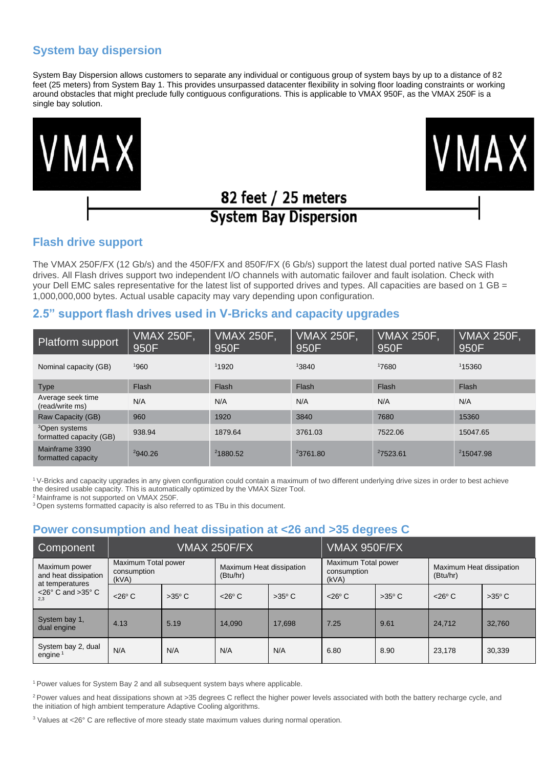# **System bay dispersion**

System Bay Dispersion allows customers to separate any individual or contiguous group of system bays by up to a distance of 82 feet (25 meters) from System Bay 1. This provides unsurpassed datacenter flexibility in solving floor loading constraints or working around obstacles that might preclude fully contiguous configurations. This is applicable to VMAX 950F, as the VMAX 250F is a single bay solution.





# 82 feet / 25 meters **System Bay Dispersion**

# **Flash drive support**

The VMAX 250F/FX (12 Gb/s) and the 450F/FX and 850F/FX (6 Gb/s) support the latest dual ported native SAS Flash drives. All Flash drives support two independent I/O channels with automatic failover and fault isolation. Check with your Dell EMC sales representative for the latest list of supported drives and types. All capacities are based on 1 GB = 1,000,000,000 bytes. Actual usable capacity may vary depending upon configuration.

### **2.5" support flash drives used in V-Bricks and capacity upgrades**

| <b>Platform support</b>                              | <b>VMAX 250F,</b><br>950F | <b>VMAX 250F,</b><br>950F | <b>VMAX 250F,</b><br>950F | <b>VMAX 250F,</b><br>950F | VMAX 250F,<br>950F    |
|------------------------------------------------------|---------------------------|---------------------------|---------------------------|---------------------------|-----------------------|
| Nominal capacity (GB)                                | 1960                      | 11920                     | 13840                     | 17680                     | 115360                |
| <b>Type</b>                                          | Flash                     | Flash                     | Flash                     | Flash                     | Flash                 |
| Average seek time<br>(read/write ms)                 | N/A                       | N/A                       | N/A                       | N/A                       | N/A                   |
| Raw Capacity (GB)                                    | 960                       | 1920                      | 3840                      | 7680                      | 15360                 |
| <sup>3</sup> Open systems<br>formatted capacity (GB) | 938.94                    | 1879.64                   | 3761.03                   | 7522.06                   | 15047.65              |
| Mainframe 3390<br>formatted capacity                 | 2940.26                   | 21880.52                  | <sup>2</sup> 3761.80      | 27523.61                  | <sup>2</sup> 15047.98 |

<sup>1</sup>V-Bricks and capacity upgrades in any given configuration could contain a maximum of two different underlying drive sizes in order to best achieve the desired usable capacity. This is automatically optimized by the VMAX Sizer Tool.

<sup>2</sup> Mainframe is not supported on VMAX 250F

<sup>3</sup> Open systems formatted capacity is also referred to as TBu in this document.

# **Power consumption and heat dissipation at <26 and >35 degrees C**

| Component                                                | <b>VMAX 250F/FX</b>  |                                                             |                    | VMAX 950F/FX                                |                    |                                      |                    |                 |
|----------------------------------------------------------|----------------------|-------------------------------------------------------------|--------------------|---------------------------------------------|--------------------|--------------------------------------|--------------------|-----------------|
| Maximum power<br>and heat dissipation<br>at temperatures | consumption<br>(kVA) | Maximum Total power<br>Maximum Heat dissipation<br>(Btu/hr) |                    | Maximum Total power<br>consumption<br>(kVA) |                    | Maximum Heat dissipation<br>(Btu/hr) |                    |                 |
| $<$ 26 $\degree$ C and $>$ 35 $\degree$ C<br>2.3         | $<$ 26 $\degree$ C   | $>35^{\circ}$ C                                             | $<$ 26 $\degree$ C | $>35^{\circ}$ C                             | $<$ 26 $\degree$ C | $>35^{\circ}$ C                      | $<$ 26 $\degree$ C | $>35^{\circ}$ C |
| System bay 1,<br>dual engine                             | 4.13                 | 5.19                                                        | 14.090             | 17.698                                      | 7.25               | 9.61                                 | 24.712             | 32.760          |
| System bay 2, dual<br>engine <sup>1</sup>                | N/A                  | N/A                                                         | N/A                | N/A                                         | 6.80               | 8.90                                 | 23,178             | 30,339          |

<sup>1</sup> Power values for System Bay 2 and all subsequent system bays where applicable.

<sup>2</sup> Power values and heat dissipations shown at >35 degrees C reflect the higher power levels associated with both the battery recharge cycle, and the initiation of high ambient temperature Adaptive Cooling algorithms.

<sup>3</sup> Values at <26° C are reflective of more steady state maximum values during normal operation.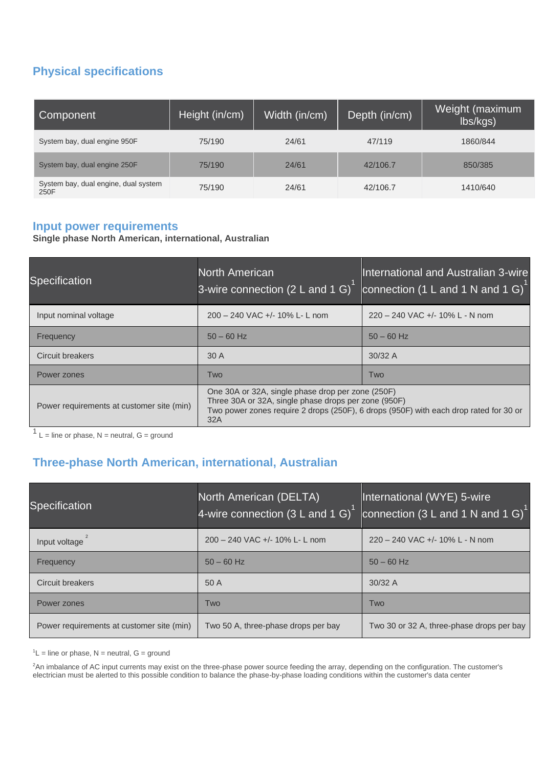# **Physical specifications**

| Component                                    | Height (in/cm) | Width (in/cm) | Depth (in/cm) | Weight (maximum<br>lbs/kgs) |
|----------------------------------------------|----------------|---------------|---------------|-----------------------------|
| System bay, dual engine 950F                 | 75/190         | 24/61         | 47/119        | 1860/844                    |
| System bay, dual engine 250F                 | 75/190         | 24/61         | 42/106.7      | 850/385                     |
| System bay, dual engine, dual system<br>250F | 75/190         | 24/61         | 42/106.7      | 1410/640                    |

# **Input power requirements**

**Single phase North American, international, Australian**

| Specification                             | <b>North American</b><br>3-wire connection (2 L and 1 G) $^{\text{1}}$                                           | International and Australian 3-wire<br>connection (1 L and 1 N and 1 G)               |
|-------------------------------------------|------------------------------------------------------------------------------------------------------------------|---------------------------------------------------------------------------------------|
| Input nominal voltage                     | $200 - 240$ VAC $+/- 10\%$ L- L nom                                                                              | 220 - 240 VAC +/- 10% L - N nom                                                       |
| Frequency                                 | $50 - 60$ Hz                                                                                                     | $50 - 60$ Hz                                                                          |
| <b>Circuit breakers</b>                   | 30A                                                                                                              | $30/32$ A                                                                             |
| Power zones                               | Two                                                                                                              | Two                                                                                   |
| Power requirements at customer site (min) | One 30A or 32A, single phase drop per zone (250F)<br>Three 30A or 32A, single phase drops per zone (950F)<br>32A | Two power zones require 2 drops (250F), 6 drops (950F) with each drop rated for 30 or |

 $1$  L = line or phase, N = neutral, G = ground

# **Three-phase North American, international, Australian**

| Specification                             | North American (DELTA)<br>4-wire connection $(3 L and 1 G)$ | International (WYE) 5-wire<br>connection (3 L and 1 N and 1 G) <sup>1</sup> |
|-------------------------------------------|-------------------------------------------------------------|-----------------------------------------------------------------------------|
| Input voltage                             | 200 - 240 VAC +/- 10% L- L nom                              | 220 - 240 VAC +/- 10% L - N nom                                             |
| Frequency                                 | $50 - 60$ Hz                                                | $50 - 60$ Hz                                                                |
| <b>Circuit breakers</b>                   | 50 A                                                        | $30/32$ A                                                                   |
| Power zones                               | Two                                                         | Two                                                                         |
| Power requirements at customer site (min) | Two 50 A, three-phase drops per bay                         | Two 30 or 32 A, three-phase drops per bay                                   |

 ${}^{1}L$  = line or phase, N = neutral, G = ground

<sup>2</sup>An imbalance of AC input currents may exist on the three-phase power source feeding the array, depending on the configuration. The customer's electrician must be alerted to this possible condition to balance the phase-by-phase loading conditions within the customer's data center